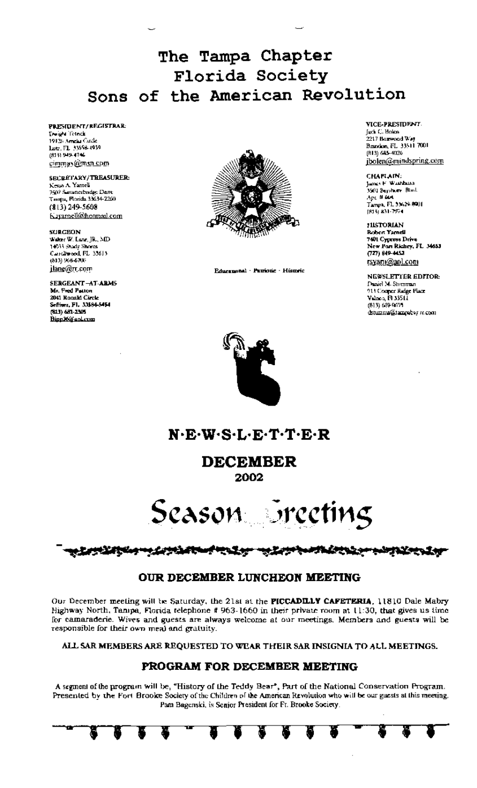The Tampa Chapter Florida Society Sons of the American Revolution

PRESIDENT/REGISTRAR: Deight Totack 1912) Amela Cade<br>Lutz, FL 33558-4939 (813) 949-4746 cimmas@msn.com

SECRETARY/TREASURER: Keyin A. Yamell 750) Savancebridge Dave<br>Tampa, Florida 33634-2260  $(813)$  249-5608 Kayamell@hotmail.com

**SURGEON** Waker W. Lane, JR., MD 14933 Shady Shores Caroliwood FL 33613  $(513)$  968-6700 jlane@rr.com

**SERGEANT-AT-ARMS** Mr. Fred Patton<br>2041 Ronald Circle Seffrer, PL 3384-5454 033 YEAR 12305 Binn K@apLrum



Educational - Patriotic - Historic

VICE-PRESIDENT. Jack C. Holen. 2217 Boxwood Way<br>Brandon, FL 33511 7001<br>(813) 685-4026 jbolen@mindspring.com

CHAPLAIN:<br>Janes F. Waarban James C. Waldfields<br>3501 Beyshore: Blvd.<br>Apr. 8 604 Tampa, FL 33624-9001  $[815]$  &31-7574

**HISTORIAN Robert Yamell** 7401 Cypress Drive New Pan Richey, FL 34653<br>(727) 849-4453 <u>rsyam@aol.com</u>

NEWSLETTER EDITOR: Daniel M. Storzman 914 Couper Radge Place (813) 639-0025 dstuizma@tampabay.rc.com



N.E.W.S.L.E.T.T.E.R

**DECEMBER** 2002

Season breeting

# 

## OUR DECEMBER LUNCHEON MEETING

Our December meeting will be Saturday, the 21st at the PICCADILLY CAFETERIA, 11810 Dale Mabry Highway North, Tampa, Florida telephone # 963-1660 in their private room at 11:30, that gives us time for camaraderie. Wives and guests are always welcome at our meetings. Members and guests will be responsible for their own meal and gratuity.

ALL SAR MEMBERS ARE REQUESTED TO WEAR THEIR SAR INSIGNIA TO ALL MEETINGS.

## PROGRAM FOR DECEMBER MEETING

A segment of the program will be, "History of the Teddy Bear", Part of the National Conservation Program. Presented by the Fort Brooke Society of the Children of the American Revolution who will be our guests at this meeting. Pam Bagenski, is Senjor President for Fr. Brooke Society.

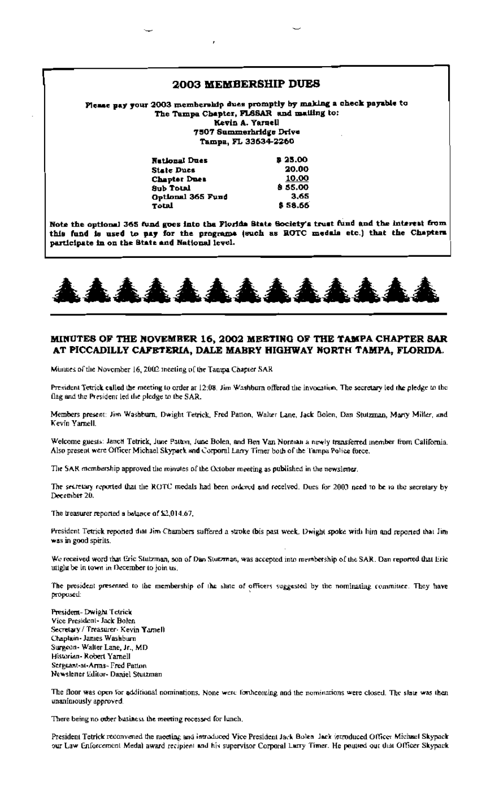### 2003 MEMBERSHIP DUES

Please pay your 2003 membership dues promptly by making a check payable to The Tampa Chapter, FLSSAR and mailing to: Kevin A. Yaruell 7507 Summerhridge Drive Tampa, FL 33634-2260

| Nutlongl Dues     | 8 25.00 |
|-------------------|---------|
| State Ducs        | 20.00   |
| Chapter Dues      | 10.00   |
| <b>Sub Total</b>  | \$55.00 |
| Optional 365 Fund | 3.65    |
| Total             | \$58.66 |
|                   |         |

Note the optional 365 fund goes into the Florida State Society's trust fund and the interest from this fund is used to pay for the programs (such as ROTC medals etc.) that the Chapters participate in on the State and National level.



### MINUTES OF THE NOVEMBER 16, 2002 MEETING OF THE TAMPA CHAPTER SAR AT PICCADILLY CAFETERIA, DALE MABRY HIGHWAY NORTH TAMPA, FLORIDA.

Minutes of the November 16, 2002 ineeting of the Tampa Chapter SAR

President Tetrick called the meeting to order at 12:08. Jim Washburn offered the invocation. The secretary led the pledge to the flag and the President led the pledge to the SAR.

Members present: Jim Washburn, Dwight Tetrick, Fred Patton, Waher Lane, Jack Bolen, Dan Stutzman, Morty Miller, and Kevin Yamell.

Welcome guests: Janch Tetrick, June Patton, June Bolen, and Ben Van Norman a newly transferred member from California. Also present were Officer Michael Skypack and Corporal Larry Timer both of the Tampa Police force.

The SAR membership approved the minutes of the October meeting as published in the newsletter.

The secretary reported that the ROTC medals had been ordered and received. Dues for 2003 need to be in the secretary by December 20.

The treasurer reported a balance of \$2,014.67.

President Tetrick reported that Jim Chambers suffered a stroke (bis past week, Dwight spoke with him and reported that Jim was in good spirits.

We received word that Eric Statzman, son of Dan Stutzman, was accepted into membership of the SAR. Dan reported that Eric utight be in town in December to join us.

The president presented to the membership of the slate of officers suggested by the nominating committee. They have proposed:

President-Dwight Tetrick Vice President- Jack Bolen Secretary / Treasurer- Kevin Yamel) Chaplain- James Washburn Surgeon-Walter Lane, Jr., MD Historian-Robert Yamell Sergeant-at-Arms-Fred Patton Newslener Editor- Daniel Stutzman

The floor was open for additional nominations. None were forthcoming and the nominations were closed. The slate was then unanimously approved.

There being no other business the meeting recessed for lunch,

President Tetrick reconvened the meeting and introduced Vice President Jack Rolen Jack introduced Officer Michael Skypack our Law Enforcement Medal award recipient and his supervisor Corporal Larry Timer. He poutted out that Officer Skypack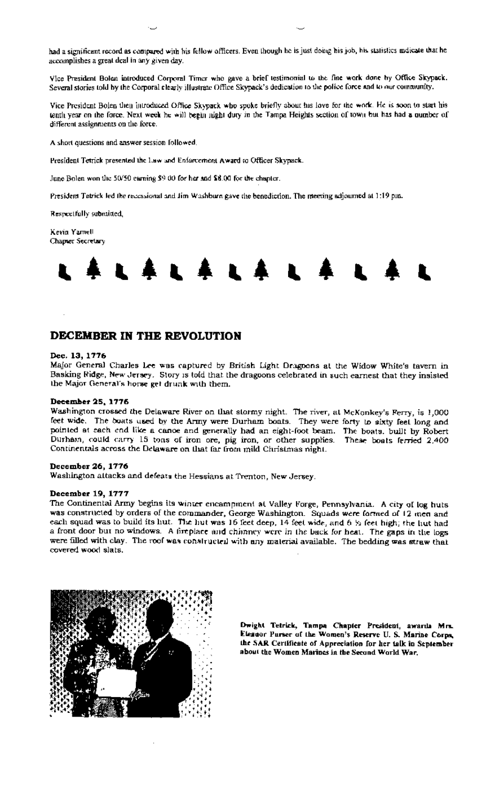had a significant record as compared with his fellow officers. Even though he is just doing his job, his statistics indicate that he accomplishes a great deal in any given day.

Vice President Bolen introduced Corporal Timer who gave a brief testimonial to the fine work done by Office Skypack. Several stories told by the Corporal clearly illustrate Office Skypack's dedication to the police force and to our community.

Vice President Bolen then introduced Office Skypack who spoke briefly about his love for the work. He is soon to start his tenth year on the force. Next week he will begin night duty in the Tampa Heights section of town but has had a number of different assignments on the force.

A short questions and answer session followed.

President Tetrick presented the Law and Enfarcement Award to Officer Skypack.

June Bolen won the 50/50 carning \$9.00 for her and \$8.00 for the chapter.

President Tetrick led the recessional and Jim Washburn gave the benediction. The meeting adjourned at 1:19 pm.

Respectfully submitted,

Kevin Yamell Chapter Secretary



## DECEMBER IN THE REVOLUTION

#### Dec. 13, 1776

Major General Charles Lee was captured by British Light Dragpons at the Widow White's tavern in Basking Ridge, New Jersey. Story is told that the dragoons celebrated in such earnest that they insisted the Major General's horse get drunk with them.

### December 25, 1776

Washington crossed the Delaware River on that stormy night. The river, at McKonkey's Ferry, is 1,000 feet wide. The boats used by the Army were Durham boats. They were forty to sixty feet long and pointed at each end like a cance and generally had an eight-foot beam. The boats, built by Robert Durham, could carry 15 tons of iron ore, pig iron, or other supplies. These boats ferried 2,400 Continentals across the Delaware on that far from mild Christmas night.

#### December 26, 1776

Washington attacks and defeats the Hessians at Trenton, New Jersey.

#### December 19, 1777

The Continental Army begins its winter encampment at Valley Forge, Pennsylvania. A city of log huts was constructed by orders of the commander, George Washington. Squads were formed of 12 men and each squad was to build its hut. The hut was 16 feet deep, 14 feet wide, and 6  $\%$  feet high; the hut had a front door but no windows. A fireplace and chinney were in the back for heat. The gaps in the logs were filled with clay. The roof was constructed with any material available. The bedding was straw that covered wood slats.



Dwight Tetrick, Tampa Chapter President, awards Mrs. Elesnor Purser of the Women's Reserve U.S. Marine Corps, the SAR Certificate of Appreciation for her talk in September about the Women Marines in the Second World War.